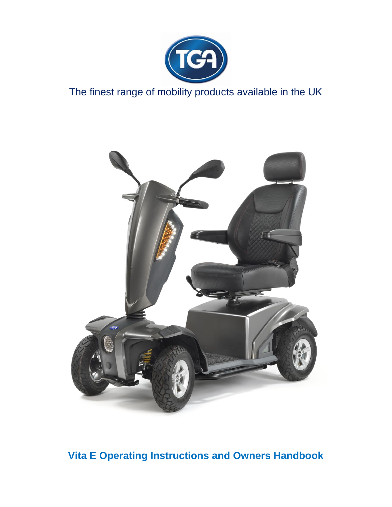

# The finest range of mobility products available in the UK



**Vita E Operating Instructions and Owners Handbook**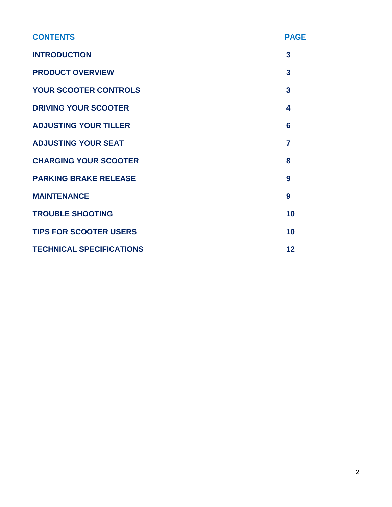| <b>CONTENTS</b>                 | <b>PAGE</b>    |
|---------------------------------|----------------|
| <b>INTRODUCTION</b>             | 3              |
| <b>PRODUCT OVERVIEW</b>         | 3              |
| <b>YOUR SCOOTER CONTROLS</b>    | 3              |
| <b>DRIVING YOUR SCOOTER</b>     | 4              |
| <b>ADJUSTING YOUR TILLER</b>    | 6              |
| <b>ADJUSTING YOUR SEAT</b>      | $\overline{7}$ |
| <b>CHARGING YOUR SCOOTER</b>    | 8              |
| <b>PARKING BRAKE RELEASE</b>    | 9              |
| <b>MAINTENANCE</b>              | 9              |
| <b>TROUBLE SHOOTING</b>         | 10             |
| <b>TIPS FOR SCOOTER USERS</b>   | 10             |
| <b>TECHNICAL SPECIFICATIONS</b> | 12             |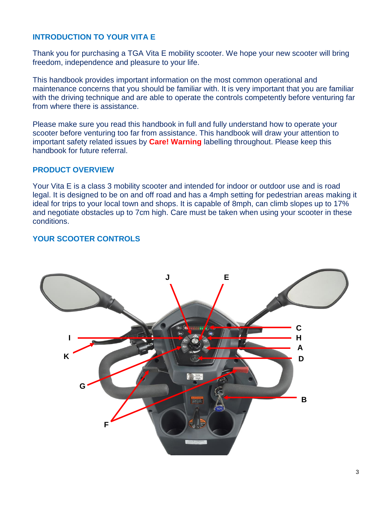# **INTRODUCTION TO YOUR VITA E**

Thank you for purchasing a TGA Vita E mobility scooter. We hope your new scooter will bring freedom, independence and pleasure to your life.

This handbook provides important information on the most common operational and maintenance concerns that you should be familiar with. It is very important that you are familiar with the driving technique and are able to operate the controls competently before venturing far from where there is assistance.

Please make sure you read this handbook in full and fully understand how to operate your scooter before venturing too far from assistance. This handbook will draw your attention to important safety related issues by **Care! Warning** labelling throughout. Please keep this handbook for future referral.

## **PRODUCT OVERVIEW**

Your Vita E is a class 3 mobility scooter and intended for indoor or outdoor use and is road legal. It is designed to be on and off road and has a 4mph setting for pedestrian areas making it ideal for trips to your local town and shops. It is capable of 8mph, can climb slopes up to 17% and negotiate obstacles up to 7cm high. Care must be taken when using your scooter in these conditions.

# **YOUR SCOOTER CONTROLS**

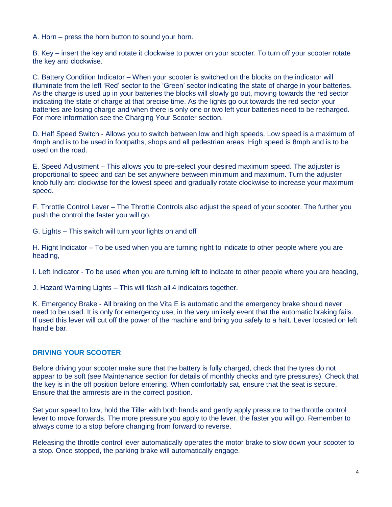A. Horn – press the horn button to sound your horn.

B. Key – insert the key and rotate it clockwise to power on your scooter. To turn off your scooter rotate the key anti clockwise.

C. Battery Condition Indicator – When your scooter is switched on the blocks on the indicator will illuminate from the left 'Red' sector to the 'Green' sector indicating the state of charge in your batteries. As the charge is used up in your batteries the blocks will slowly go out, moving towards the red sector indicating the state of charge at that precise time. As the lights go out towards the red sector your batteries are losing charge and when there is only one or two left your batteries need to be recharged. For more information see the Charging Your Scooter section.

D. Half Speed Switch - Allows you to switch between low and high speeds. Low speed is a maximum of 4mph and is to be used in footpaths, shops and all pedestrian areas. High speed is 8mph and is to be used on the road.

E. Speed Adjustment – This allows you to pre-select your desired maximum speed. The adjuster is proportional to speed and can be set anywhere between minimum and maximum. Turn the adjuster knob fully anti clockwise for the lowest speed and gradually rotate clockwise to increase your maximum speed.

F. Throttle Control Lever – The Throttle Controls also adjust the speed of your scooter. The further you push the control the faster you will go.

G. Lights – This switch will turn your lights on and off

H. Right Indicator – To be used when you are turning right to indicate to other people where you are heading,

I. Left Indicator - To be used when you are turning left to indicate to other people where you are heading,

J. Hazard Warning Lights – This will flash all 4 indicators together.

K. Emergency Brake - All braking on the Vita E is automatic and the emergency brake should never need to be used. It is only for emergency use, in the very unlikely event that the automatic braking fails. If used this lever will cut off the power of the machine and bring you safely to a halt. Lever located on left handle bar.

#### **DRIVING YOUR SCOOTER**

Before driving your scooter make sure that the battery is fully charged, check that the tyres do not appear to be soft (see Maintenance section for details of monthly checks and tyre pressures). Check that the key is in the off position before entering. When comfortably sat, ensure that the seat is secure. Ensure that the armrests are in the correct position.

Set your speed to low, hold the Tiller with both hands and gently apply pressure to the throttle control lever to move forwards. The more pressure you apply to the lever, the faster you will go. Remember to always come to a stop before changing from forward to reverse.

Releasing the throttle control lever automatically operates the motor brake to slow down your scooter to a stop. Once stopped, the parking brake will automatically engage.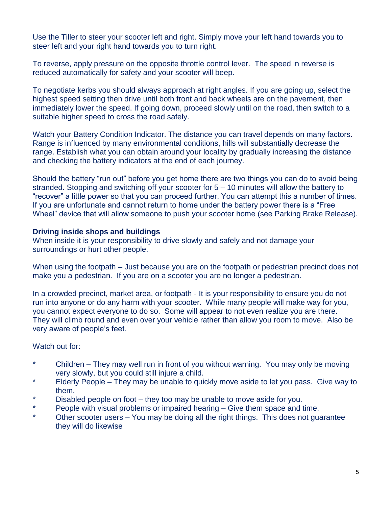Use the Tiller to steer your scooter left and right. Simply move your left hand towards you to steer left and your right hand towards you to turn right.

To reverse, apply pressure on the opposite throttle control lever. The speed in reverse is reduced automatically for safety and your scooter will beep.

To negotiate kerbs you should always approach at right angles. If you are going up, select the highest speed setting then drive until both front and back wheels are on the pavement, then immediately lower the speed. If going down, proceed slowly until on the road, then switch to a suitable higher speed to cross the road safely.

Watch your Battery Condition Indicator. The distance you can travel depends on many factors. Range is influenced by many environmental conditions, hills will substantially decrease the range. Establish what you can obtain around your locality by gradually increasing the distance and checking the battery indicators at the end of each journey.

Should the battery "run out" before you get home there are two things you can do to avoid being stranded. Stopping and switching off your scooter for 5 – 10 minutes will allow the battery to "recover" a little power so that you can proceed further. You can attempt this a number of times. If you are unfortunate and cannot return to home under the battery power there is a "Free Wheel" device that will allow someone to push your scooter home (see Parking Brake Release).

## **Driving inside shops and buildings**

When inside it is your responsibility to drive slowly and safely and not damage your surroundings or hurt other people.

When using the footpath – Just because you are on the footpath or pedestrian precinct does not make you a pedestrian. If you are on a scooter you are no longer a pedestrian.

In a crowded precinct, market area, or footpath - It is your responsibility to ensure you do not run into anyone or do any harm with your scooter. While many people will make way for you, you cannot expect everyone to do so. Some will appear to not even realize you are there. They will climb round and even over your vehicle rather than allow you room to move. Also be very aware of people's feet.

## Watch out for:

- \* Children They may well run in front of you without warning. You may only be moving very slowly, but you could still injure a child.
- Elderly People They may be unable to quickly move aside to let you pass. Give way to them.
- \* Disabled people on foot they too may be unable to move aside for you.
- \* People with visual problems or impaired hearing Give them space and time.
- Other scooter users  $-$  You may be doing all the right things. This does not guarantee they will do likewise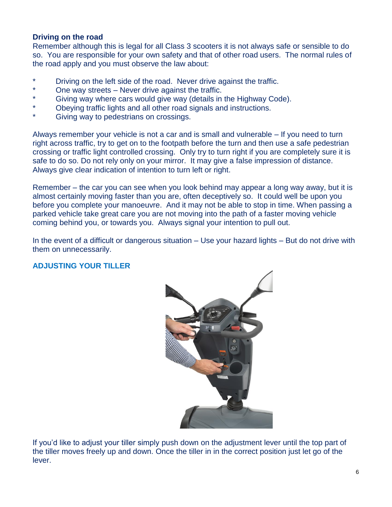## **Driving on the road**

Remember although this is legal for all Class 3 scooters it is not always safe or sensible to do so. You are responsible for your own safety and that of other road users. The normal rules of the road apply and you must observe the law about:

- \* Driving on the left side of the road. Never drive against the traffic.
- One way streets Never drive against the traffic.
- \* Giving way where cars would give way (details in the Highway Code).
- Obeying traffic lights and all other road signals and instructions.
- Giving way to pedestrians on crossings.

Always remember your vehicle is not a car and is small and vulnerable – If you need to turn right across traffic, try to get on to the footpath before the turn and then use a safe pedestrian crossing or traffic light controlled crossing. Only try to turn right if you are completely sure it is safe to do so. Do not rely only on your mirror. It may give a false impression of distance. Always give clear indication of intention to turn left or right.

Remember – the car you can see when you look behind may appear a long way away, but it is almost certainly moving faster than you are, often deceptively so. It could well be upon you before you complete your manoeuvre. And it may not be able to stop in time. When passing a parked vehicle take great care you are not moving into the path of a faster moving vehicle coming behind you, or towards you. Always signal your intention to pull out.

In the event of a difficult or dangerous situation – Use your hazard lights – But do not drive with them on unnecessarily.

## **ADJUSTING YOUR TILLER**



If you'd like to adjust your tiller simply push down on the adjustment lever until the top part of the tiller moves freely up and down. Once the tiller in in the correct position just let go of the lever.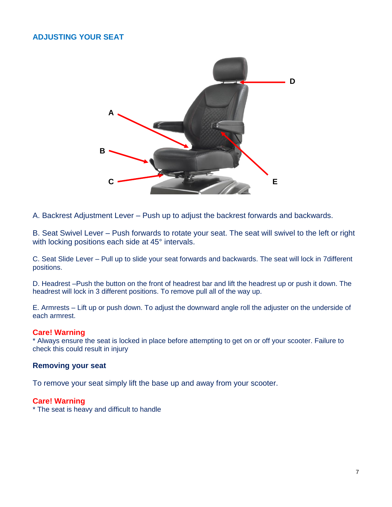## **ADJUSTING YOUR SEAT**



A. Backrest Adjustment Lever – Push up to adjust the backrest forwards and backwards.

B. Seat Swivel Lever – Push forwards to rotate your seat. The seat will swivel to the left or right with locking positions each side at 45° intervals.

C. Seat Slide Lever – Pull up to slide your seat forwards and backwards. The seat will lock in 7different positions.

D. Headrest –Push the button on the front of headrest bar and lift the headrest up or push it down. The headrest will lock in 3 different positions. To remove pull all of the way up.

E. Armrests – Lift up or push down. To adjust the downward angle roll the adjuster on the underside of each armrest.

#### **Care! Warning**

\* Always ensure the seat is locked in place before attempting to get on or off your scooter. Failure to check this could result in injury

#### **Removing your seat**

To remove your seat simply lift the base up and away from your scooter.

#### **Care! Warning**

\* The seat is heavy and difficult to handle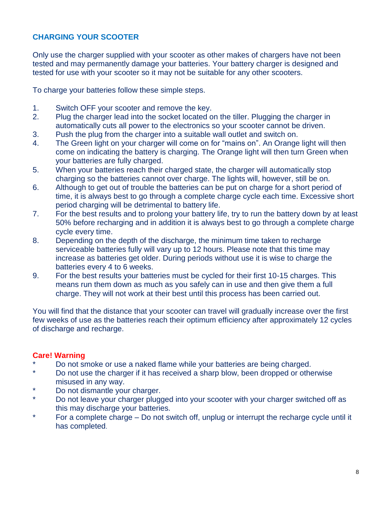# **CHARGING YOUR SCOOTER**

Only use the charger supplied with your scooter as other makes of chargers have not been tested and may permanently damage your batteries. Your battery charger is designed and tested for use with your scooter so it may not be suitable for any other scooters.

To charge your batteries follow these simple steps.

- 1. Switch OFF your scooter and remove the key.
- 2. Plug the charger lead into the socket located on the tiller. Plugging the charger in automatically cuts all power to the electronics so your scooter cannot be driven.
- 3. Push the plug from the charger into a suitable wall outlet and switch on.
- 4. The Green light on your charger will come on for "mains on". An Orange light will then come on indicating the battery is charging. The Orange light will then turn Green when your batteries are fully charged.
- 5. When your batteries reach their charged state, the charger will automatically stop charging so the batteries cannot over charge. The lights will, however, still be on.
- 6. Although to get out of trouble the batteries can be put on charge for a short period of time, it is always best to go through a complete charge cycle each time. Excessive short period charging will be detrimental to battery life.
- 7. For the best results and to prolong your battery life, try to run the battery down by at least 50% before recharging and in addition it is always best to go through a complete charge cycle every time.
- 8. Depending on the depth of the discharge, the minimum time taken to recharge serviceable batteries fully will vary up to 12 hours. Please note that this time may increase as batteries get older. During periods without use it is wise to charge the batteries every 4 to 6 weeks.
- 9. For the best results your batteries must be cycled for their first 10-15 charges. This means run them down as much as you safely can in use and then give them a full charge. They will not work at their best until this process has been carried out.

You will find that the distance that your scooter can travel will gradually increase over the first few weeks of use as the batteries reach their optimum efficiency after approximately 12 cycles of discharge and recharge.

# **Care! Warning**

- \* Do not smoke or use a naked flame while your batteries are being charged.<br>No not use the sharper if it has reserved a sharp blau, heap dramad are the
- Do not use the charger if it has received a sharp blow, been dropped or otherwise misused in any way.
- Do not dismantle your charger.
- \* Do not leave your charger plugged into your scooter with your charger switched off as this may discharge your batteries.
- \* For a complete charge Do not switch off, unplug or interrupt the recharge cycle until it has completed.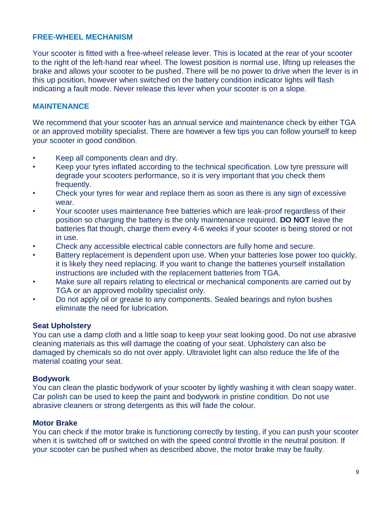## **FREE-WHEEL MECHANISM**

Your scooter is fitted with a free-wheel release lever. This is located at the rear of your scooter to the right of the left-hand rear wheel. The lowest position is normal use, lifting up releases the brake and allows your scooter to be pushed. There will be no power to drive when the lever is in this up position, however when switched on the battery condition indicator lights will flash indicating a fault mode. Never release this lever when your scooter is on a slope.

## **MAINTENANCE**

We recommend that your scooter has an annual service and maintenance check by either TGA or an approved mobility specialist. There are however a few tips you can follow yourself to keep your scooter in good condition.

- Keep all components clean and dry.
- Keep your tyres inflated according to the technical specification. Low tyre pressure will degrade your scooters performance, so it is very important that you check them frequently.
- Check your tyres for wear and replace them as soon as there is any sign of excessive wear.
- Your scooter uses maintenance free batteries which are leak-proof regardless of their position so charging the battery is the only maintenance required. **DO NOT** leave the batteries flat though, charge them every 4-6 weeks if your scooter is being stored or not in use.
- Check any accessible electrical cable connectors are fully home and secure.
- Battery replacement is dependent upon use. When your batteries lose power too quickly, it is likely they need replacing. If you want to change the batteries yourself installation instructions are included with the replacement batteries from TGA.
- Make sure all repairs relating to electrical or mechanical components are carried out by TGA or an approved mobility specialist only.
- Do not apply oil or grease to any components. Sealed bearings and nylon bushes eliminate the need for lubrication.

#### **Seat Upholstery**

You can use a damp cloth and a little soap to keep your seat looking good. Do not use abrasive cleaning materials as this will damage the coating of your seat. Upholstery can also be damaged by chemicals so do not over apply. Ultraviolet light can also reduce the life of the material coating your seat.

#### **Bodywork**

You can clean the plastic bodywork of your scooter by lightly washing it with clean soapy water. Car polish can be used to keep the paint and bodywork in pristine condition. Do not use abrasive cleaners or strong detergents as this will fade the colour.

#### **Motor Brake**

You can check if the motor brake is functioning correctly by testing, if you can push your scooter when it is switched off or switched on with the speed control throttle in the neutral position. If your scooter can be pushed when as described above, the motor brake may be faulty.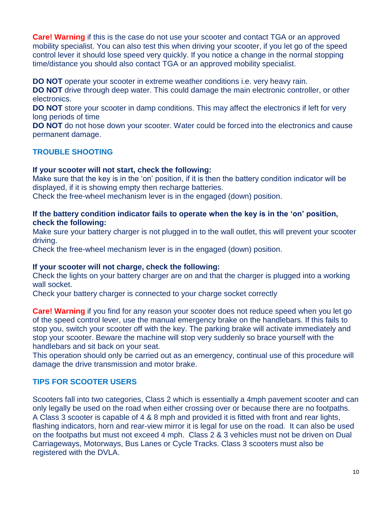**Care! Warning** if this is the case do not use your scooter and contact TGA or an approved mobility specialist. You can also test this when driving your scooter, if you let go of the speed control lever it should lose speed very quickly. If you notice a change in the normal stopping time/distance you should also contact TGA or an approved mobility specialist.

**DO NOT** operate your scooter in extreme weather conditions i.e. very heavy rain.

**DO NOT** drive through deep water. This could damage the main electronic controller, or other electronics.

**DO NOT** store your scooter in damp conditions. This may affect the electronics if left for very long periods of time

**DO NOT** do not hose down your scooter. Water could be forced into the electronics and cause permanent damage.

# **TROUBLE SHOOTING**

## **If your scooter will not start, check the following:**

Make sure that the key is in the 'on' position, if it is then the battery condition indicator will be displayed, if it is showing empty then recharge batteries.

Check the free-wheel mechanism lever is in the engaged (down) position.

## **If the battery condition indicator fails to operate when the key is in the 'on' position, check the following:**

Make sure your battery charger is not plugged in to the wall outlet, this will prevent your scooter driving.

Check the free-wheel mechanism lever is in the engaged (down) position.

## **If your scooter will not charge, check the following:**

Check the lights on your battery charger are on and that the charger is plugged into a working wall socket.

Check your battery charger is connected to your charge socket correctly

**Care! Warning** if you find for any reason your scooter does not reduce speed when you let go of the speed control lever, use the manual emergency brake on the handlebars. If this fails to stop you, switch your scooter off with the key. The parking brake will activate immediately and stop your scooter. Beware the machine will stop very suddenly so brace yourself with the handlebars and sit back on your seat.

This operation should only be carried out as an emergency, continual use of this procedure will damage the drive transmission and motor brake.

## **TIPS FOR SCOOTER USERS**

Scooters fall into two categories, Class 2 which is essentially a 4mph pavement scooter and can only legally be used on the road when either crossing over or because there are no footpaths. A Class 3 scooter is capable of 4 & 8 mph and provided it is fitted with front and rear lights, flashing indicators, horn and rear-view mirror it is legal for use on the road. It can also be used on the footpaths but must not exceed 4 mph. Class 2 & 3 vehicles must not be driven on Dual Carriageways, Motorways, Bus Lanes or Cycle Tracks. Class 3 scooters must also be registered with the DVLA.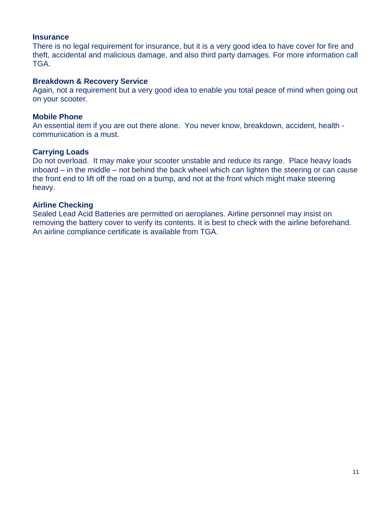#### **Insurance**

There is no legal requirement for insurance, but it is a very good idea to have cover for fire and theft, accidental and malicious damage, and also third party damages. For more information call TGA.

#### **Breakdown & Recovery Service**

Again, not a requirement but a very good idea to enable you total peace of mind when going out on your scooter.

#### **Mobile Phone**

An essential item if you are out there alone. You never know, breakdown, accident, health communication is a must.

## **Carrying Loads**

Do not overload. It may make your scooter unstable and reduce its range. Place heavy loads inboard – in the middle – not behind the back wheel which can lighten the steering or can cause the front end to lift off the road on a bump, and not at the front which might make steering heavy.

## **Airline Checking**

Sealed Lead Acid Batteries are permitted on aeroplanes. Airline personnel may insist on removing the battery cover to verify its contents. It is best to check with the airline beforehand. An airline compliance certificate is available from TGA.